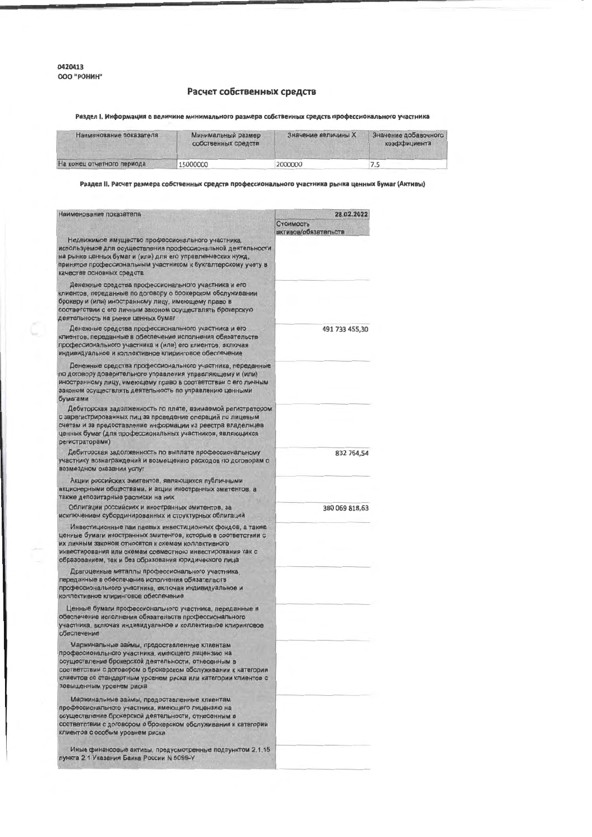Ċ

## Расчет собственных средств

Раздел І. Информация о величине минимального размера собственных средств профессионального участника

| Наименование показателя    | Минимальный размер<br>собственных средств | Значение величины Х | Значение добавочного<br>коэффициента |  |
|----------------------------|-------------------------------------------|---------------------|--------------------------------------|--|
| На конец отчетного периода | 15000000                                  | 2000000             | כ. ז                                 |  |

Раздел II. Расчет размера собственных средств профессионального участника рынка ценных бумаг (Активы)

| Наименование показателя                                                                                                                                                                                                                                                                                                  | 28.02.2022                        |
|--------------------------------------------------------------------------------------------------------------------------------------------------------------------------------------------------------------------------------------------------------------------------------------------------------------------------|-----------------------------------|
|                                                                                                                                                                                                                                                                                                                          | Стоимость<br>активов/обязательств |
| Недвижимое имущество профессионального участника,<br>используемое для осуществления профессиональной деятельности<br>на рынке ценных бумаг и (или) для его управленческих нужд,<br>принятое профессиональным участником к бухгалтерскому учету в<br>качестве основных средств                                            |                                   |
| Денежные средства профессионального участника и его<br>клиентов, переданные по договору о брокерском обслуживании<br>брокеру и (или) иностранному лицу, имеющему право в<br>соответствии с его личным законом осуществлять брокерскую<br>деятельность на рынке ценных бумаг                                              |                                   |
| Денежные средства профессионального участника и его<br>клиентов, переданные в обеспечение исполнения обязательств<br>профессионального участника и (или) его клиентов, включая<br>индивидуальное и коллективное клиринговое обеспечение                                                                                  | 491 733 455.30                    |
| Денежные средства профессионального участника, переданные<br>по договору доверительного управления управляющему и (или)<br>иностранному лицу, имеющему право в соответствии с его личным<br>законом осуществлять деятельность по управлению ценными<br>бумагами                                                          |                                   |
| Дебиторская задолженность по плате, взимаемой регистратором<br>с зарегистрированных лиц за проведение операций по лицевым<br>счетам и за предоставление информации из реестра владельцев<br>ценных бумаг (для профессиональных участников, являющихся<br>регистраторами)                                                 |                                   |
| Дебиторская задолженность по выплате профессиональному<br>участнику вознаграждений и возмещению расходов по договорам о<br>возмездном оказании услуг                                                                                                                                                                     | 832 764,54                        |
| Акции российских эмитентов, являющихся публичными<br>акционерными обществами, и акции иностранных эмитентов, а<br>также депозитарные расписки на них                                                                                                                                                                     |                                   |
| Облигации российских и иностранных эмитентов, за<br>исключением субординированных и структурных облигаций                                                                                                                                                                                                                | 380 069 818,63                    |
| Инвестиционные паи паевых инвестиционных фондов, а также<br>ценные бумаги иностранных эмитентов, которые в соответствии с<br>их личным законом относятся к схемам коллективного<br>инвестирования или схемам совместного инвестирования как с<br>образованием, так и без образования юридического лица                   |                                   |
| Драгоценные металлы профессионального участника,<br>переданные в обеспечение исполнения обязательств<br>профессионального участника, включая индивидуальное и<br>коллективное клиринговое обеспечение                                                                                                                    |                                   |
| Ценные бумаги профессионального участника, переданные в<br>обеспечение исполнения обязательств профессионального<br>участника, включая индивидуальное и коллективное клиринговое<br>обеспечение                                                                                                                          |                                   |
| Маржинальные займы, предоставленные клиентам<br>профессионального участника, имеющего лицензию на<br>осуществление брокерской деятельности, отнесенным в<br>соответствии с договором о брокерском обслуживании к категории<br>клиентов со стандартным уровнем риска или категории клиентов с<br>повышенным уровнем риска |                                   |
| Маржинальные займы, предоставленные клиентам<br>профессионального участника, имеющего лицензию на<br>осуществление брокерской деятельности, отнесенным в<br>соответствии с договором о брокерском обслуживании к категории<br>клиентов с особым уровнем риска                                                            |                                   |
| Иные финансовые активы, предусмотренные подпунктом 2.1.15<br>пункта 2.1 Указания Банка России N 5099-У                                                                                                                                                                                                                   |                                   |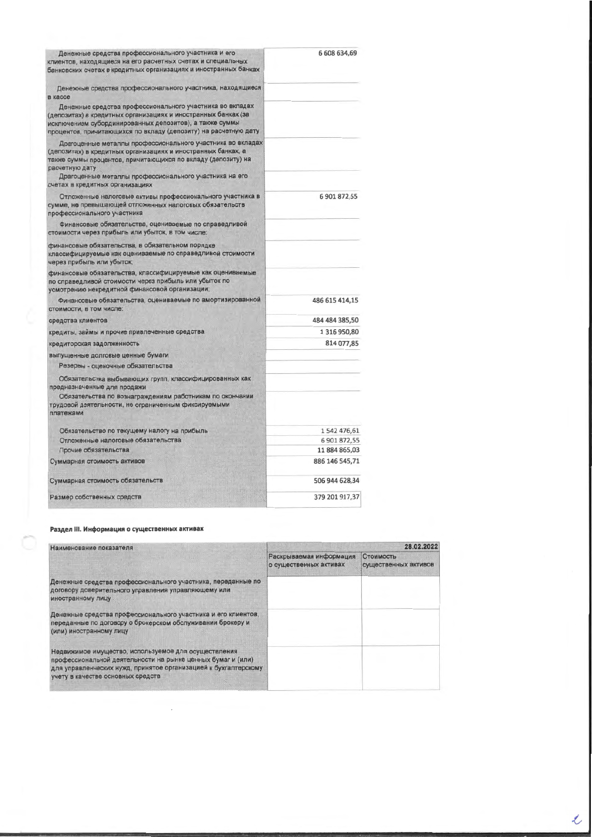| 6 608 634,69   |
|----------------|
|                |
|                |
|                |
| 6 901 872.55   |
|                |
|                |
|                |
| 486 615 414.15 |
| 484 484 385,50 |
| 1 316 950,80   |
| 814 077,85     |
|                |
|                |
|                |
|                |
| 1 542 476,61   |
| 6 901 872,55   |
| 11 884 865,03  |
| 886 146 545,71 |
| 506 944 628,34 |
| 379 201 917,37 |
|                |

## Раздел III. Информация о существенных активах

 $\hat{\mathcal{L}}$ 

| Наименование показателя                                                                                                                                                                                                     | 28.02.2022                                        |                                   |  |
|-----------------------------------------------------------------------------------------------------------------------------------------------------------------------------------------------------------------------------|---------------------------------------------------|-----------------------------------|--|
|                                                                                                                                                                                                                             | Раскрываемая информация<br>о существенных активах | Стоимость<br>существенных активов |  |
| Денежные средства профессионального участника, переданные по<br>договору доверительного управления управляющему или<br>иностранному лицу                                                                                    |                                                   |                                   |  |
| Денежные средства профессионального участника и его клиентов,<br>переданные по договору о брокерском обслуживании брокеру и<br>(или) иностранному лицу                                                                      |                                                   |                                   |  |
| Недвижимое имущество, используемое для осуществления<br>профессиональной деятельности на рынке ценных бумаг и (или)<br>для управленческих нужд, принятое организацией к бухгалтерскому<br>учету в качестве основных средств |                                                   |                                   |  |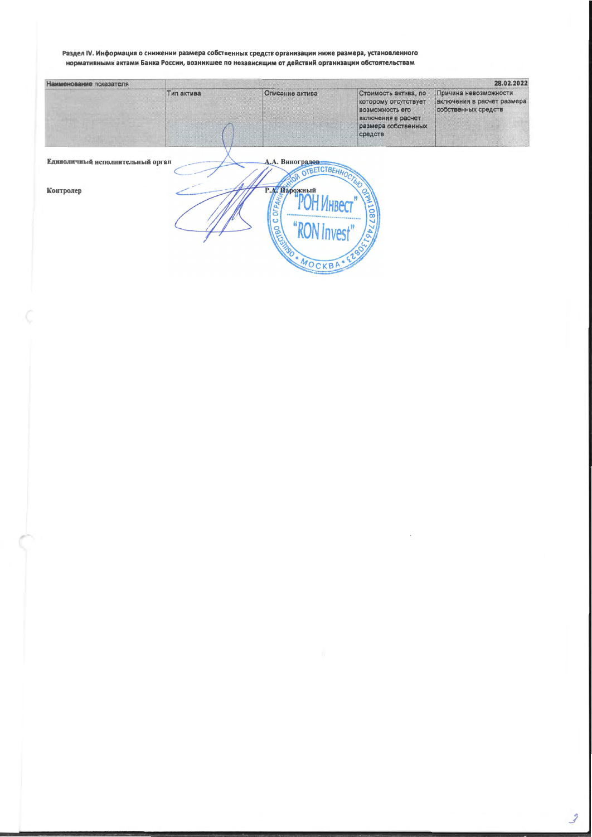## Раздел IV. Информация о снижении размера собственных средств организации ниже размера, установленного<br>нормативными актами Банка России, возникшее по независящим от действий организации обстоятельствам

| Наименование показателя          | 28.02.2022 |                                                |                                                                                                                         |                                                                            |
|----------------------------------|------------|------------------------------------------------|-------------------------------------------------------------------------------------------------------------------------|----------------------------------------------------------------------------|
|                                  | Тип актива | Описание актива                                | Стоимость актива, по<br>которому отсутствует<br>возможность его<br>включения в расчет<br>размера собственных<br>средств | Причина невозможности<br>включения в расчет размера<br>собственных средств |
| Единоличный исполнительный орган |            | А.А. Виноградов<br>OTBETCTBEHHOL               |                                                                                                                         |                                                                            |
| Контролер                        |            | Р.А. Нарожный<br>à<br>$\circ$<br>ငွ<br>MOCKBA* | 1087                                                                                                                    |                                                                            |

 $\sim$